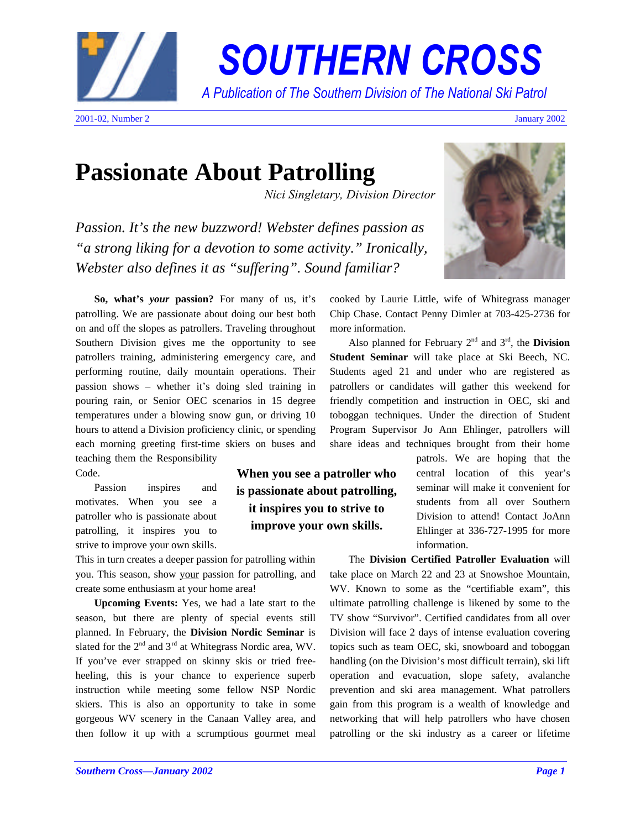

*SOUTHERN CROSS.*

*A Publication of The Southern Division of The National Ski Patrol..*

# **Passionate About Patrolling**

*Nici Singletary, Division Director*

*Passion. It's the new buzzword! Webster defines passion as "a strong liking for a devotion to some activity." Ironically, Webster also defines it as "suffering". Sound familiar?*

**So, what's** *your* **passion?** For many of us, it's patrolling. We are passionate about doing our best both on and off the slopes as patrollers. Traveling throughout Southern Division gives me the opportunity to see patrollers training, administering emergency care, and performing routine, daily mountain operations. Their passion shows – whether it's doing sled training in pouring rain, or Senior OEC scenarios in 15 degree temperatures under a blowing snow gun, or driving 10 hours to attend a Division proficiency clinic, or spending each morning greeting first-time skiers on buses and teaching them the Responsibility Code.

Passion inspires and motivates. When you see a patroller who is passionate about patrolling, it inspires you to strive to improve your own skills.

This in turn creates a deeper passion for patrolling within you. This season, show your passion for patrolling, and create some enthusiasm at your home area!

**Upcoming Events:** Yes, we had a late start to the season, but there are plenty of special events still planned. In February, the **Division Nordic Seminar** is slated for the  $2<sup>nd</sup>$  and  $3<sup>rd</sup>$  at Whitegrass Nordic area, WV. If you've ever strapped on skinny skis or tried freeheeling, this is your chance to experience superb instruction while meeting some fellow NSP Nordic skiers. This is also an opportunity to take in some gorgeous WV scenery in the Canaan Valley area, and then follow it up with a scrumptious gourmet meal

**When you see a patroller who is passionate about patrolling, it inspires you to strive to improve your own skills.**



cooked by Laurie Little, wife of Whitegrass manager Chip Chase. Contact Penny Dimler at 703-425-2736 for more information.

Also planned for February  $2<sup>nd</sup>$  and  $3<sup>rd</sup>$ , the **Division Student Seminar** will take place at Ski Beech, NC. Students aged 21 and under who are registered as patrollers or candidates will gather this weekend for friendly competition and instruction in OEC, ski and toboggan techniques. Under the direction of Student Program Supervisor Jo Ann Ehlinger, patrollers will share ideas and techniques brought from their home

> patrols. We are hoping that the central location of this year's seminar will make it convenient for students from all over Southern Division to attend! Contact JoAnn Ehlinger at 336-727-1995 for more information.

The **Division Certified Patroller Evaluation** will take place on March 22 and 23 at Snowshoe Mountain, WV. Known to some as the "certifiable exam", this ultimate patrolling challenge is likened by some to the TV show "Survivor". Certified candidates from all over Division will face 2 days of intense evaluation covering topics such as team OEC, ski, snowboard and toboggan handling (on the Division's most difficult terrain), ski lift operation and evacuation, slope safety, avalanche prevention and ski area management. What patrollers gain from this program is a wealth of knowledge and networking that will help patrollers who have chosen patrolling or the ski industry as a career or lifetime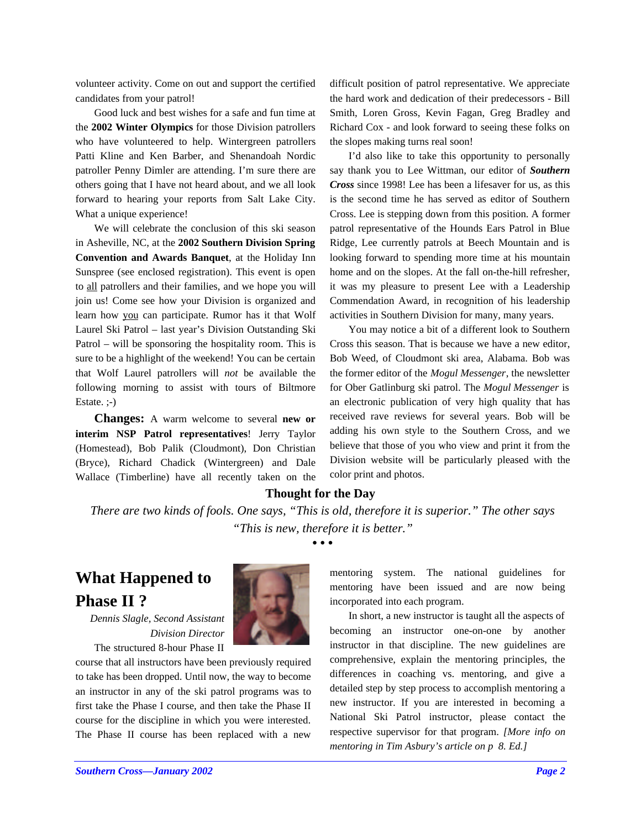volunteer activity. Come on out and support the certified candidates from your patrol!

Good luck and best wishes for a safe and fun time at the **2002 Winter Olympics** for those Division patrollers who have volunteered to help. Wintergreen patrollers Patti Kline and Ken Barber, and Shenandoah Nordic patroller Penny Dimler are attending. I'm sure there are others going that I have not heard about, and we all look forward to hearing your reports from Salt Lake City. What a unique experience!

We will celebrate the conclusion of this ski season in Asheville, NC, at the **2002 Southern Division Spring Convention and Awards Banquet**, at the Holiday Inn Sunspree (see enclosed registration). This event is open to all patrollers and their families, and we hope you will join us! Come see how your Division is organized and learn how you can participate. Rumor has it that Wolf Laurel Ski Patrol – last year's Division Outstanding Ski Patrol – will be sponsoring the hospitality room. This is sure to be a highlight of the weekend! You can be certain that Wolf Laurel patrollers will *not* be available the following morning to assist with tours of Biltmore Estate. ;-)

**Changes:** A warm welcome to several **new or interim NSP Patrol representatives**! Jerry Taylor (Homestead), Bob Palik (Cloudmont), Don Christian (Bryce), Richard Chadick (Wintergreen) and Dale Wallace (Timberline) have all recently taken on the difficult position of patrol representative. We appreciate the hard work and dedication of their predecessors - Bill Smith, Loren Gross, Kevin Fagan, Greg Bradley and Richard Cox - and look forward to seeing these folks on the slopes making turns real soon!

I'd also like to take this opportunity to personally say thank you to Lee Wittman, our editor of *Southern Cross* since 1998! Lee has been a lifesaver for us, as this is the second time he has served as editor of Southern Cross. Lee is stepping down from this position. A former patrol representative of the Hounds Ears Patrol in Blue Ridge, Lee currently patrols at Beech Mountain and is looking forward to spending more time at his mountain home and on the slopes. At the fall on-the-hill refresher, it was my pleasure to present Lee with a Leadership Commendation Award, in recognition of his leadership activities in Southern Division for many, many years.

You may notice a bit of a different look to Southern Cross this season. That is because we have a new editor, Bob Weed, of Cloudmont ski area, Alabama. Bob was the former editor of the *Mogul Messenger*, the newsletter for Ober Gatlinburg ski patrol. The *Mogul Messenger* is an electronic publication of very high quality that has received rave reviews for several years. Bob will be adding his own style to the Southern Cross, and we believe that those of you who view and print it from the Division website will be particularly pleased with the color print and photos.

#### **Thought for the Day**

*There are two kinds of fools. One says, "This is old, therefore it is superior." The other says "This is new, therefore it is better."*

**• • •**

# **What Happened to Phase II ?**

*Dennis Slagle, Second Assistant Division Director* The structured 8-hour Phase II

course that all instructors have been previously required to take has been dropped. Until now, the way to become an instructor in any of the ski patrol programs was to first take the Phase I course, and then take the Phase II course for the discipline in which you were interested. The Phase II course has been replaced with a new mentoring system. The national guidelines for mentoring have been issued and are now being incorporated into each program.

In short, a new instructor is taught all the aspects of becoming an instructor one-on-one by another instructor in that discipline. The new guidelines are comprehensive, explain the mentoring principles, the differences in coaching vs. mentoring, and give a detailed step by step process to accomplish mentoring a new instructor. If you are interested in becoming a National Ski Patrol instructor, please contact the respective supervisor for that program. *[More info on mentoring in Tim Asbury's article on p 8. Ed.]*

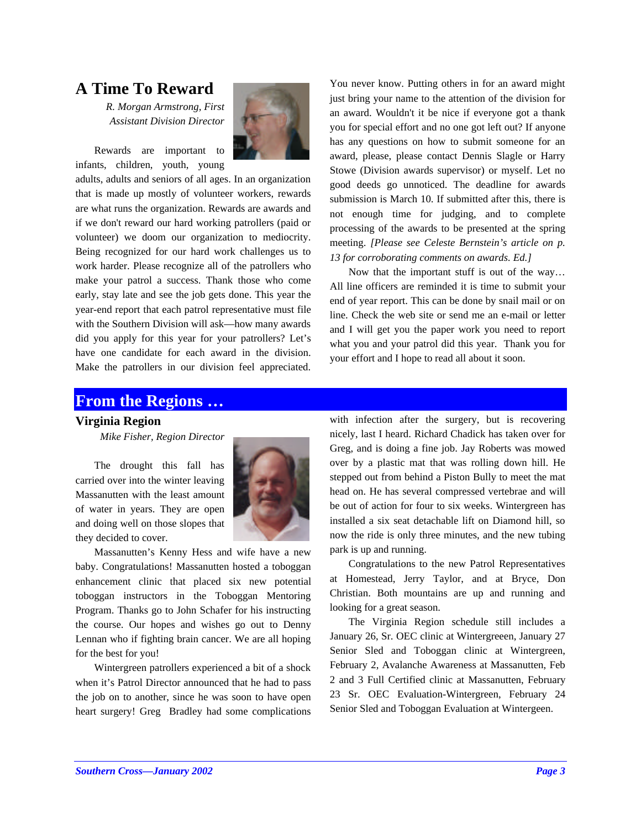## **A Time To Reward**

*R. Morgan Armstrong, First Assistant Division Director*

Rewards are important to infants, children, youth, young



adults, adults and seniors of all ages. In an organization that is made up mostly of volunteer workers, rewards are what runs the organization. Rewards are awards and if we don't reward our hard working patrollers (paid or volunteer) we doom our organization to mediocrity. Being recognized for our hard work challenges us to work harder. Please recognize all of the patrollers who make your patrol a success. Thank those who come early, stay late and see the job gets done. This year the year-end report that each patrol representative must file with the Southern Division will ask—how many awards did you apply for this year for your patrollers? Let's have one candidate for each award in the division. Make the patrollers in our division feel appreciated. You never know. Putting others in for an award might just bring your name to the attention of the division for an award. Wouldn't it be nice if everyone got a thank you for special effort and no one got left out? If anyone has any questions on how to submit someone for an award, please, please contact Dennis Slagle or Harry Stowe (Division awards supervisor) or myself. Let no good deeds go unnoticed. The deadline for awards submission is March 10. If submitted after this, there is not enough time for judging, and to complete processing of the awards to be presented at the spring meeting. *[Please see Celeste Bernstein's article on p. 13 for corroborating comments on awards. Ed.]*

Now that the important stuff is out of the way… All line officers are reminded it is time to submit your end of year report. This can be done by snail mail or on line. Check the web site or send me an e-mail or letter and I will get you the paper work you need to report what you and your patrol did this year. Thank you for your effort and I hope to read all about it soon.

## **From the Regions …**

#### **Virginia Region**

*Mike Fisher, Region Director*

The drought this fall has carried over into the winter leaving Massanutten with the least amount of water in years. They are open and doing well on those slopes that they decided to cover.



Massanutten's Kenny Hess and wife have a new baby. Congratulations! Massanutten hosted a toboggan enhancement clinic that placed six new potential toboggan instructors in the Toboggan Mentoring Program. Thanks go to John Schafer for his instructing the course. Our hopes and wishes go out to Denny Lennan who if fighting brain cancer. We are all hoping for the best for you!

Wintergreen patrollers experienced a bit of a shock when it's Patrol Director announced that he had to pass the job on to another, since he was soon to have open heart surgery! Greg Bradley had some complications with infection after the surgery, but is recovering nicely, last I heard. Richard Chadick has taken over for Greg, and is doing a fine job. Jay Roberts was mowed over by a plastic mat that was rolling down hill. He stepped out from behind a Piston Bully to meet the mat head on. He has several compressed vertebrae and will be out of action for four to six weeks. Wintergreen has installed a six seat detachable lift on Diamond hill, so now the ride is only three minutes, and the new tubing park is up and running.

Congratulations to the new Patrol Representatives at Homestead, Jerry Taylor, and at Bryce, Don Christian. Both mountains are up and running and looking for a great season.

The Virginia Region schedule still includes a January 26, Sr. OEC clinic at Wintergreeen, January 27 Senior Sled and Toboggan clinic at Wintergreen, February 2, Avalanche Awareness at Massanutten, Feb 2 and 3 Full Certified clinic at Massanutten, February 23 Sr. OEC Evaluation-Wintergreen, February 24 Senior Sled and Toboggan Evaluation at Wintergeen.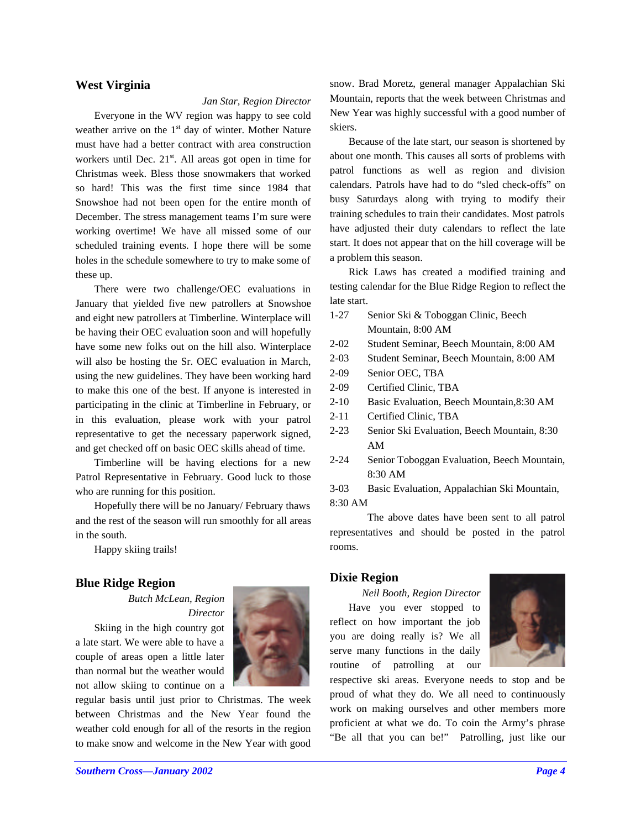## **West Virginia**

#### *Jan Star, Region Director*

Everyone in the WV region was happy to see cold weather arrive on the  $1<sup>st</sup>$  day of winter. Mother Nature must have had a better contract with area construction workers until Dec.  $21<sup>st</sup>$ . All areas got open in time for Christmas week. Bless those snowmakers that worked so hard! This was the first time since 1984 that Snowshoe had not been open for the entire month of December. The stress management teams I'm sure were working overtime! We have all missed some of our scheduled training events. I hope there will be some holes in the schedule somewhere to try to make some of these up.

There were two challenge/OEC evaluations in January that yielded five new patrollers at Snowshoe and eight new patrollers at Timberline. Winterplace will be having their OEC evaluation soon and will hopefully have some new folks out on the hill also. Winterplace will also be hosting the Sr. OEC evaluation in March, using the new guidelines. They have been working hard to make this one of the best. If anyone is interested in participating in the clinic at Timberline in February, or in this evaluation, please work with your patrol representative to get the necessary paperwork signed, and get checked off on basic OEC skills ahead of time.

Timberline will be having elections for a new Patrol Representative in February. Good luck to those who are running for this position.

Hopefully there will be no January/ February thaws and the rest of the season will run smoothly for all areas in the south.

Happy skiing trails!

#### **Blue Ridge Region**

*Butch McLean, Region Director*

Skiing in the high country got a late start. We were able to have a couple of areas open a little later than normal but the weather would not allow skiing to continue on a



regular basis until just prior to Christmas. The week between Christmas and the New Year found the weather cold enough for all of the resorts in the region to make snow and welcome in the New Year with good snow. Brad Moretz, general manager Appalachian Ski Mountain, reports that the week between Christmas and New Year was highly successful with a good number of skiers.

Because of the late start, our season is shortened by about one month. This causes all sorts of problems with patrol functions as well as region and division calendars. Patrols have had to do "sled check-offs" on busy Saturdays along with trying to modify their training schedules to train their candidates. Most patrols have adjusted their duty calendars to reflect the late start. It does not appear that on the hill coverage will be a problem this season.

Rick Laws has created a modified training and testing calendar for the Blue Ridge Region to reflect the late start.

- 1-27 Senior Ski & Toboggan Clinic, Beech Mountain, 8:00 AM
- 2-02 Student Seminar, Beech Mountain, 8:00 AM
- 2-03 Student Seminar, Beech Mountain, 8:00 AM
- 2-09 Senior OEC, TBA
- 2-09 Certified Clinic, TBA
- 2-10 Basic Evaluation, Beech Mountain,8:30 AM
- 2-11 Certified Clinic, TBA
- 2-23 Senior Ski Evaluation, Beech Mountain, 8:30 AM
- 2-24 Senior Toboggan Evaluation, Beech Mountain, 8:30 AM

3-03 Basic Evaluation, Appalachian Ski Mountain, 8:30 AM

The above dates have been sent to all patrol representatives and should be posted in the patrol rooms.

## **Dixie Region**

*Neil Booth, Region Director*

Have you ever stopped to reflect on how important the job you are doing really is? We all serve many functions in the daily routine of patrolling at our



respective ski areas. Everyone needs to stop and be proud of what they do. We all need to continuously work on making ourselves and other members more proficient at what we do. To coin the Army's phrase "Be all that you can be!" Patrolling, just like our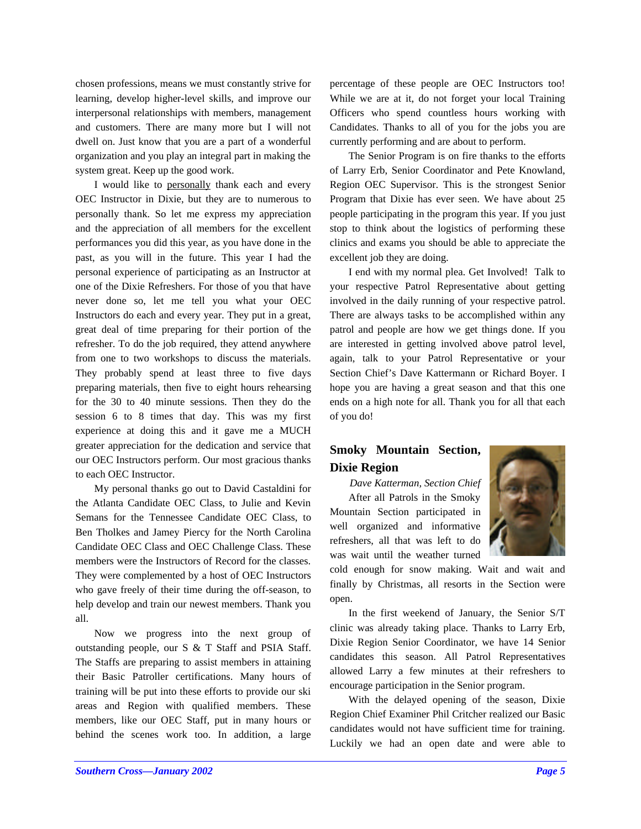chosen professions, means we must constantly strive for learning, develop higher-level skills, and improve our interpersonal relationships with members, management and customers. There are many more but I will not dwell on. Just know that you are a part of a wonderful organization and you play an integral part in making the system great. Keep up the good work.

I would like to personally thank each and every OEC Instructor in Dixie, but they are to numerous to personally thank. So let me express my appreciation and the appreciation of all members for the excellent performances you did this year, as you have done in the past, as you will in the future. This year I had the personal experience of participating as an Instructor at one of the Dixie Refreshers. For those of you that have never done so, let me tell you what your OEC Instructors do each and every year. They put in a great, great deal of time preparing for their portion of the refresher. To do the job required, they attend anywhere from one to two workshops to discuss the materials. They probably spend at least three to five days preparing materials, then five to eight hours rehearsing for the 30 to 40 minute sessions. Then they do the session 6 to 8 times that day. This was my first experience at doing this and it gave me a MUCH greater appreciation for the dedication and service that our OEC Instructors perform. Our most gracious thanks to each OEC Instructor.

My personal thanks go out to David Castaldini for the Atlanta Candidate OEC Class, to Julie and Kevin Semans for the Tennessee Candidate OEC Class, to Ben Tholkes and Jamey Piercy for the North Carolina Candidate OEC Class and OEC Challenge Class. These members were the Instructors of Record for the classes. They were complemented by a host of OEC Instructors who gave freely of their time during the off-season, to help develop and train our newest members. Thank you all.

Now we progress into the next group of outstanding people, our S & T Staff and PSIA Staff. The Staffs are preparing to assist members in attaining their Basic Patroller certifications. Many hours of training will be put into these efforts to provide our ski areas and Region with qualified members. These members, like our OEC Staff, put in many hours or behind the scenes work too. In addition, a large

percentage of these people are OEC Instructors too! While we are at it, do not forget your local Training Officers who spend countless hours working with Candidates. Thanks to all of you for the jobs you are currently performing and are about to perform.

The Senior Program is on fire thanks to the efforts of Larry Erb, Senior Coordinator and Pete Knowland, Region OEC Supervisor. This is the strongest Senior Program that Dixie has ever seen. We have about 25 people participating in the program this year. If you just stop to think about the logistics of performing these clinics and exams you should be able to appreciate the excellent job they are doing.

I end with my normal plea. Get Involved! Talk to your respective Patrol Representative about getting involved in the daily running of your respective patrol. There are always tasks to be accomplished within any patrol and people are how we get things done. If you are interested in getting involved above patrol level, again, talk to your Patrol Representative or your Section Chief's Dave Kattermann or Richard Boyer. I hope you are having a great season and that this one ends on a high note for all. Thank you for all that each of you do!

## **Smoky Mountain Section, Dixie Region**

*Dave Katterman, Section Chief* After all Patrols in the Smoky Mountain Section participated in well organized and informative refreshers, all that was left to do was wait until the weather turned



cold enough for snow making. Wait and wait and finally by Christmas, all resorts in the Section were open.

In the first weekend of January, the Senior S/T clinic was already taking place. Thanks to Larry Erb, Dixie Region Senior Coordinator, we have 14 Senior candidates this season. All Patrol Representatives allowed Larry a few minutes at their refreshers to encourage participation in the Senior program.

With the delayed opening of the season, Dixie Region Chief Examiner Phil Critcher realized our Basic candidates would not have sufficient time for training. Luckily we had an open date and were able to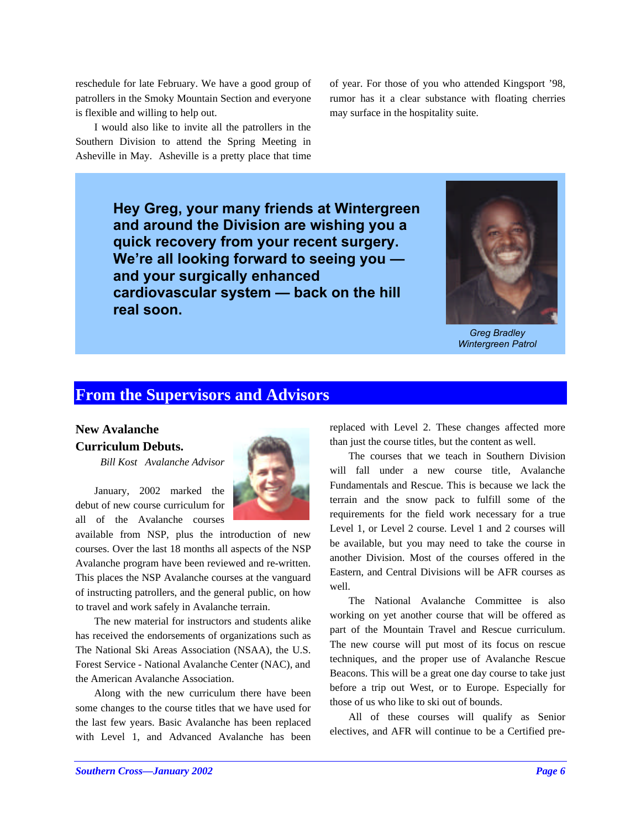reschedule for late February. We have a good group of patrollers in the Smoky Mountain Section and everyone is flexible and willing to help out.

I would also like to invite all the patrollers in the Southern Division to attend the Spring Meeting in Asheville in May. Asheville is a pretty place that time

of year. For those of you who attended Kingsport '98, rumor has it a clear substance with floating cherries may surface in the hospitality suite.

**Hey Greg, your many friends at Wintergreen and around the Division are wishing you a quick recovery from your recent surgery. We're all looking forward to seeing you and your surgically enhanced cardiovascular system — back on the hill real soon.**



*Greg Bradley Wintergreen Patrol*

## **From the Supervisors and Advisors**

## **New Avalanche Curriculum Debuts.**

*Bill Kost Avalanche Advisor*

January, 2002 marked the debut of new course curriculum for all of the Avalanche courses

available from NSP, plus the introduction of new courses. Over the last 18 months all aspects of the NSP Avalanche program have been reviewed and re-written. This places the NSP Avalanche courses at the vanguard of instructing patrollers, and the general public, on how to travel and work safely in Avalanche terrain.

The new material for instructors and students alike has received the endorsements of organizations such as The National Ski Areas Association (NSAA), the U.S. Forest Service - National Avalanche Center (NAC), and the American Avalanche Association.

Along with the new curriculum there have been some changes to the course titles that we have used for the last few years. Basic Avalanche has been replaced with Level 1, and Advanced Avalanche has been replaced with Level 2. These changes affected more than just the course titles, but the content as well.

The courses that we teach in Southern Division will fall under a new course title, Avalanche Fundamentals and Rescue. This is because we lack the terrain and the snow pack to fulfill some of the requirements for the field work necessary for a true Level 1, or Level 2 course. Level 1 and 2 courses will be available, but you may need to take the course in another Division. Most of the courses offered in the Eastern, and Central Divisions will be AFR courses as well.

The National Avalanche Committee is also working on yet another course that will be offered as part of the Mountain Travel and Rescue curriculum. The new course will put most of its focus on rescue techniques, and the proper use of Avalanche Rescue Beacons. This will be a great one day course to take just before a trip out West, or to Europe. Especially for those of us who like to ski out of bounds.

All of these courses will qualify as Senior electives, and AFR will continue to be a Certified pre-

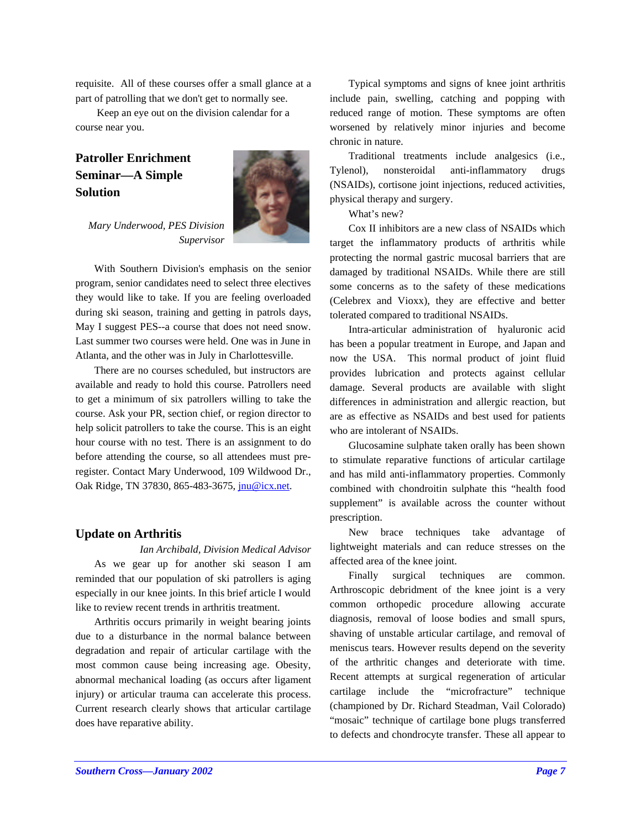requisite. All of these courses offer a small glance at a part of patrolling that we don't get to normally see.

 Keep an eye out on the division calendar for a course near you.

## **Patroller Enrichment Seminar—A Simple Solution**



*Mary Underwood, PES Division Supervisor*

With Southern Division's emphasis on the senior program, senior candidates need to select three electives they would like to take. If you are feeling overloaded during ski season, training and getting in patrols days, May I suggest PES--a course that does not need snow. Last summer two courses were held. One was in June in Atlanta, and the other was in July in Charlottesville.

There are no courses scheduled, but instructors are available and ready to hold this course. Patrollers need to get a minimum of six patrollers willing to take the course. Ask your PR, section chief, or region director to help solicit patrollers to take the course. This is an eight hour course with no test. There is an assignment to do before attending the course, so all attendees must preregister. Contact Mary Underwood, 109 Wildwood Dr., Oak Ridge, TN 37830, 865-483-3675, jnu@icx.net.

#### **Update on Arthritis**

*Ian Archibald, Division Medical Advisor* As we gear up for another ski season I am reminded that our population of ski patrollers is aging especially in our knee joints. In this brief article I would like to review recent trends in arthritis treatment.

Arthritis occurs primarily in weight bearing joints due to a disturbance in the normal balance between degradation and repair of articular cartilage with the most common cause being increasing age. Obesity, abnormal mechanical loading (as occurs after ligament injury) or articular trauma can accelerate this process. Current research clearly shows that articular cartilage does have reparative ability.

Typical symptoms and signs of knee joint arthritis include pain, swelling, catching and popping with reduced range of motion. These symptoms are often worsened by relatively minor injuries and become chronic in nature.

Traditional treatments include analgesics (i.e., Tylenol), nonsteroidal anti-inflammatory drugs (NSAIDs), cortisone joint injections, reduced activities, physical therapy and surgery.

What's new?

Cox II inhibitors are a new class of NSAIDs which target the inflammatory products of arthritis while protecting the normal gastric mucosal barriers that are damaged by traditional NSAIDs. While there are still some concerns as to the safety of these medications (Celebrex and Vioxx), they are effective and better tolerated compared to traditional NSAIDs.

Intra-articular administration of hyaluronic acid has been a popular treatment in Europe, and Japan and now the USA. This normal product of joint fluid provides lubrication and protects against cellular damage. Several products are available with slight differences in administration and allergic reaction, but are as effective as NSAIDs and best used for patients who are intolerant of NSAIDs.

Glucosamine sulphate taken orally has been shown to stimulate reparative functions of articular cartilage and has mild anti-inflammatory properties. Commonly combined with chondroitin sulphate this "health food supplement" is available across the counter without prescription.

New brace techniques take advantage of lightweight materials and can reduce stresses on the affected area of the knee joint.

Finally surgical techniques are common. Arthroscopic debridment of the knee joint is a very common orthopedic procedure allowing accurate diagnosis, removal of loose bodies and small spurs, shaving of unstable articular cartilage, and removal of meniscus tears. However results depend on the severity of the arthritic changes and deteriorate with time. Recent attempts at surgical regeneration of articular cartilage include the "microfracture" technique (championed by Dr. Richard Steadman, Vail Colorado) "mosaic" technique of cartilage bone plugs transferred to defects and chondrocyte transfer. These all appear to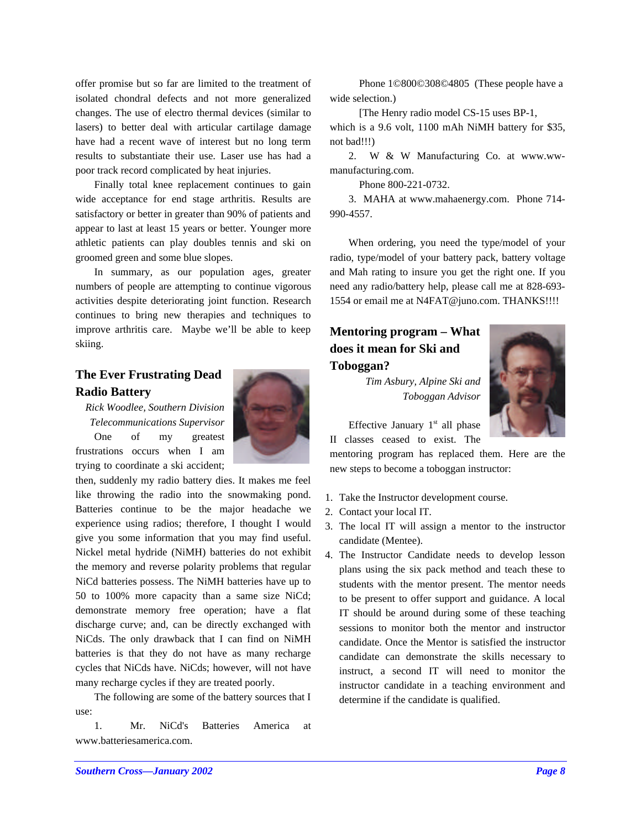offer promise but so far are limited to the treatment of isolated chondral defects and not more generalized changes. The use of electro thermal devices (similar to lasers) to better deal with articular cartilage damage have had a recent wave of interest but no long term results to substantiate their use. Laser use has had a poor track record complicated by heat injuries.

Finally total knee replacement continues to gain wide acceptance for end stage arthritis. Results are satisfactory or better in greater than 90% of patients and appear to last at least 15 years or better. Younger more athletic patients can play doubles tennis and ski on groomed green and some blue slopes.

In summary, as our population ages, greater numbers of people are attempting to continue vigorous activities despite deteriorating joint function. Research continues to bring new therapies and techniques to improve arthritis care. Maybe we'll be able to keep skiing.

## **The Ever Frustrating Dead Radio Battery**

*Rick Woodlee, Southern Division Telecommunications Supervisor* One of my greatest frustrations occurs when I am trying to coordinate a ski accident;



The following are some of the battery sources that I use:

1. Mr. NiCd's Batteries America at www.batteriesamerica.com.

 Phone 1©800©308©4805 (These people have a wide selection.)

[The Henry radio model CS-15 uses BP-1,

which is a 9.6 volt, 1100 mAh NiMH battery for \$35, not bad!!!)

2. W & W Manufacturing Co. at www.wwmanufacturing.com.

Phone 800-221-0732.

3. MAHA at www.mahaenergy.com. Phone 714- 990-4557.

When ordering, you need the type/model of your radio, type/model of your battery pack, battery voltage and Mah rating to insure you get the right one. If you need any radio/battery help, please call me at 828-693- 1554 or email me at N4FAT@juno.com. THANKS!!!!

## **Mentoring program – What does it mean for Ski and Toboggan?**

*Tim Asbury, Alpine Ski and Toboggan Advisor*



Effective January  $1<sup>st</sup>$  all phase II classes ceased to exist. The

mentoring program has replaced them. Here are the new steps to become a toboggan instructor:

- 1. Take the Instructor development course.
- 2. Contact your local IT.
- 3. The local IT will assign a mentor to the instructor candidate (Mentee).
- 4. The Instructor Candidate needs to develop lesson plans using the six pack method and teach these to students with the mentor present. The mentor needs to be present to offer support and guidance. A local IT should be around during some of these teaching sessions to monitor both the mentor and instructor candidate. Once the Mentor is satisfied the instructor candidate can demonstrate the skills necessary to instruct, a second IT will need to monitor the instructor candidate in a teaching environment and determine if the candidate is qualified.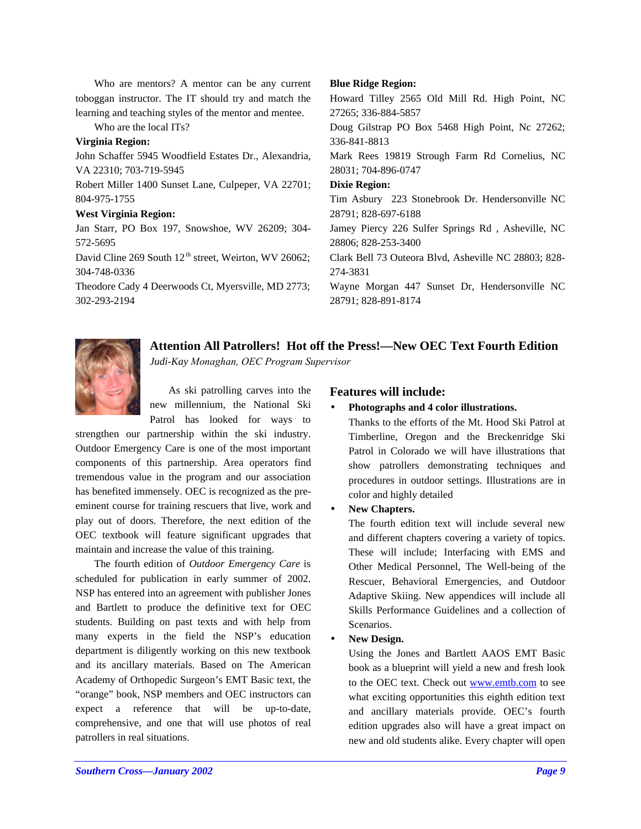Who are mentors? A mentor can be any current toboggan instructor. The IT should try and match the learning and teaching styles of the mentor and mentee.

Who are the local ITs?

#### **Virginia Region:**

John Schaffer 5945 Woodfield Estates Dr., Alexandria, VA 22310; 703-719-5945 Robert Miller 1400 Sunset Lane, Culpeper, VA 22701; 804-975-1755

#### **West Virginia Region:**

Jan Starr, PO Box 197, Snowshoe, WV 26209; 304- 572-5695 David Cline 269 South  $12<sup>th</sup>$  street, Weirton, WV 26062;

304-748-0336 Theodore Cady 4 Deerwoods Ct, Myersville, MD 2773; 302-293-2194

#### **Blue Ridge Region:**

Howard Tilley 2565 Old Mill Rd. High Point, NC 27265; 336-884-5857 Doug Gilstrap PO Box 5468 High Point, Nc 27262; 336-841-8813 Mark Rees 19819 Strough Farm Rd Cornelius, NC 28031; 704-896-0747 **Dixie Region:** Tim Asbury 223 Stonebrook Dr. Hendersonville NC 28791; 828-697-6188 Jamey Piercy 226 Sulfer Springs Rd , Asheville, NC 28806; 828-253-3400 Clark Bell 73 Outeora Blvd, Asheville NC 28803; 828- 274-3831 Wayne Morgan 447 Sunset Dr, Hendersonville NC 28791; 828-891-8174

**Attention All Patrollers! Hot off the Press!—New OEC Text Fourth Edition**

*Judi-Kay Monaghan, OEC Program Supervisor*

As ski patrolling carves into the new millennium, the National Ski Patrol has looked for ways to

strengthen our partnership within the ski industry. Outdoor Emergency Care is one of the most important components of this partnership. Area operators find tremendous value in the program and our association has benefited immensely. OEC is recognized as the preeminent course for training rescuers that live, work and play out of doors. Therefore, the next edition of the OEC textbook will feature significant upgrades that maintain and increase the value of this training.

The fourth edition of *Outdoor Emergency Care* is scheduled for publication in early summer of 2002. NSP has entered into an agreement with publisher Jones and Bartlett to produce the definitive text for OEC students. Building on past texts and with help from many experts in the field the NSP's education department is diligently working on this new textbook and its ancillary materials. Based on The American Academy of Orthopedic Surgeon's EMT Basic text, the "orange" book, NSP members and OEC instructors can expect a reference that will be up-to-date, comprehensive, and one that will use photos of real patrollers in real situations.

## **Features will include:**

#### • **Photographs and 4 color illustrations.**

Thanks to the efforts of the Mt. Hood Ski Patrol at Timberline, Oregon and the Breckenridge Ski Patrol in Colorado we will have illustrations that show patrollers demonstrating techniques and procedures in outdoor settings. Illustrations are in color and highly detailed

#### • **New Chapters.**

The fourth edition text will include several new and different chapters covering a variety of topics. These will include; Interfacing with EMS and Other Medical Personnel, The Well-being of the Rescuer, Behavioral Emergencies, and Outdoor Adaptive Skiing. New appendices will include all Skills Performance Guidelines and a collection of Scenarios.

#### • **New Design.**

Using the Jones and Bartlett AAOS EMT Basic book as a blueprint will yield a new and fresh look to the OEC text. Check out www.emtb.com to see what exciting opportunities this eighth edition text and ancillary materials provide. OEC's fourth edition upgrades also will have a great impact on new and old students alike. Every chapter will open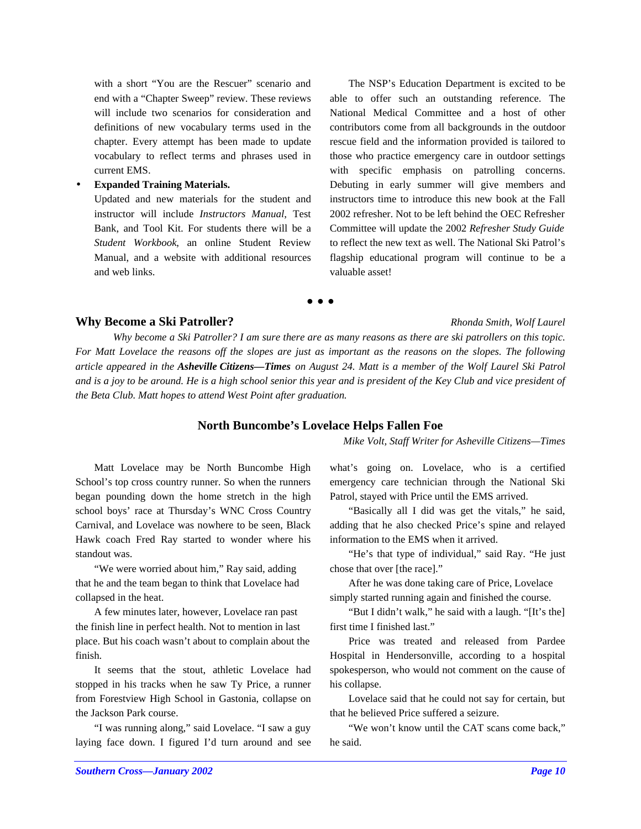with a short "You are the Rescuer" scenario and end with a "Chapter Sweep" review. These reviews will include two scenarios for consideration and definitions of new vocabulary terms used in the chapter. Every attempt has been made to update vocabulary to reflect terms and phrases used in current EMS.

• **Expanded Training Materials.**

Updated and new materials for the student and instructor will include *Instructors Manual*, Test Bank, and Tool Kit. For students there will be a *Student Workbook*, an online Student Review Manual, and a website with additional resources and web links.

The NSP's Education Department is excited to be able to offer such an outstanding reference. The National Medical Committee and a host of other contributors come from all backgrounds in the outdoor rescue field and the information provided is tailored to those who practice emergency care in outdoor settings with specific emphasis on patrolling concerns. Debuting in early summer will give members and instructors time to introduce this new book at the Fall 2002 refresher. Not to be left behind the OEC Refresher Committee will update the 2002 *Refresher Study Guide* to reflect the new text as well. The National Ski Patrol's flagship educational program will continue to be a valuable asset!

## **• • •**

## **Why Become a Ski Patroller?** *Rhonda Smith, Wolf Laurel*

*Why become a Ski Patroller? I am sure there are as many reasons as there are ski patrollers on this topic. For Matt Lovelace the reasons off the slopes are just as important as the reasons on the slopes. The following article appeared in the Asheville Citizens—Times on August 24. Matt is a member of the Wolf Laurel Ski Patrol and is a joy to be around. He is a high school senior this year and is president of the Key Club and vice president of the Beta Club. Matt hopes to attend West Point after graduation.*

## **North Buncombe's Lovelace Helps Fallen Foe**

*Mike Volt, Staff Writer for Asheville Citizens—Times*

Matt Lovelace may be North Buncombe High School's top cross country runner. So when the runners began pounding down the home stretch in the high school boys' race at Thursday's WNC Cross Country Carnival, and Lovelace was nowhere to be seen, Black Hawk coach Fred Ray started to wonder where his standout was.

"We were worried about him," Ray said, adding that he and the team began to think that Lovelace had collapsed in the heat.

A few minutes later, however, Lovelace ran past the finish line in perfect health. Not to mention in last place. But his coach wasn't about to complain about the finish.

It seems that the stout, athletic Lovelace had stopped in his tracks when he saw Ty Price, a runner from Forestview High School in Gastonia, collapse on the Jackson Park course.

"I was running along," said Lovelace. "I saw a guy laying face down. I figured I'd turn around and see what's going on. Lovelace, who is a certified emergency care technician through the National Ski Patrol, stayed with Price until the EMS arrived.

"Basically all I did was get the vitals," he said, adding that he also checked Price's spine and relayed information to the EMS when it arrived.

"He's that type of individual," said Ray. "He just chose that over [the race]."

After he was done taking care of Price, Lovelace simply started running again and finished the course.

"But I didn't walk," he said with a laugh. "[It's the] first time I finished last."

Price was treated and released from Pardee Hospital in Hendersonville, according to a hospital spokesperson, who would not comment on the cause of his collapse.

Lovelace said that he could not say for certain, but that he believed Price suffered a seizure.

"We won't know until the CAT scans come back," he said.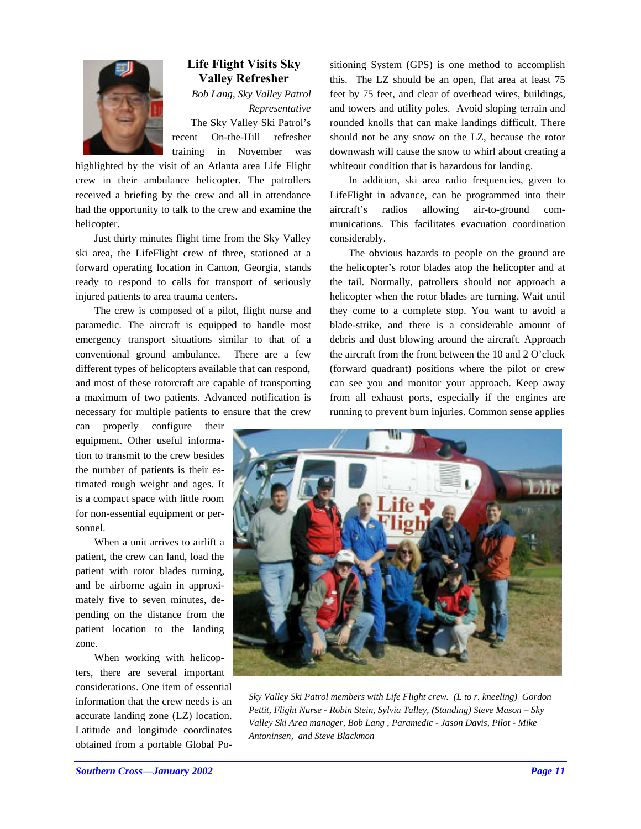

## **Life Flight Visits Sky Valley Refresher**

*Bob Lang, Sky Valley Patrol Representative* The Sky Valley Ski Patrol's recent On-the-Hill refresher training in November was

highlighted by the visit of an Atlanta area Life Flight crew in their ambulance helicopter. The patrollers received a briefing by the crew and all in attendance had the opportunity to talk to the crew and examine the helicopter.

Just thirty minutes flight time from the Sky Valley ski area, the LifeFlight crew of three, stationed at a forward operating location in Canton, Georgia, stands ready to respond to calls for transport of seriously injured patients to area trauma centers.

The crew is composed of a pilot, flight nurse and paramedic. The aircraft is equipped to handle most emergency transport situations similar to that of a conventional ground ambulance. There are a few different types of helicopters available that can respond, and most of these rotorcraft are capable of transporting a maximum of two patients. Advanced notification is necessary for multiple patients to ensure that the crew

can properly configure their equipment. Other useful information to transmit to the crew besides the number of patients is their estimated rough weight and ages. It is a compact space with little room for non-essential equipment or personnel.

When a unit arrives to airlift a patient, the crew can land, load the patient with rotor blades turning, and be airborne again in approximately five to seven minutes, depending on the distance from the patient location to the landing zone.

When working with helicopters, there are several important considerations. One item of essential information that the crew needs is an accurate landing zone (LZ) location. Latitude and longitude coordinates obtained from a portable Global Positioning System (GPS) is one method to accomplish this. The LZ should be an open, flat area at least 75 feet by 75 feet, and clear of overhead wires, buildings, and towers and utility poles. Avoid sloping terrain and rounded knolls that can make landings difficult. There should not be any snow on the LZ, because the rotor downwash will cause the snow to whirl about creating a whiteout condition that is hazardous for landing.

In addition, ski area radio frequencies, given to LifeFlight in advance, can be programmed into their aircraft's radios allowing air-to-ground communications. This facilitates evacuation coordination considerably.

The obvious hazards to people on the ground are the helicopter's rotor blades atop the helicopter and at the tail. Normally, patrollers should not approach a helicopter when the rotor blades are turning. Wait until they come to a complete stop. You want to avoid a blade-strike, and there is a considerable amount of debris and dust blowing around the aircraft. Approach the aircraft from the front between the 10 and 2 O'clock (forward quadrant) positions where the pilot or crew can see you and monitor your approach. Keep away from all exhaust ports, especially if the engines are running to prevent burn injuries. Common sense applies



*Sky Valley Ski Patrol members with Life Flight crew. (L to r. kneeling) Gordon Pettit, Flight Nurse - Robin Stein, Sylvia Talley, (Standing) Steve Mason – Sky Valley Ski Area manager, Bob Lang , Paramedic - Jason Davis, Pilot - Mike Antoninsen, and Steve Blackmon*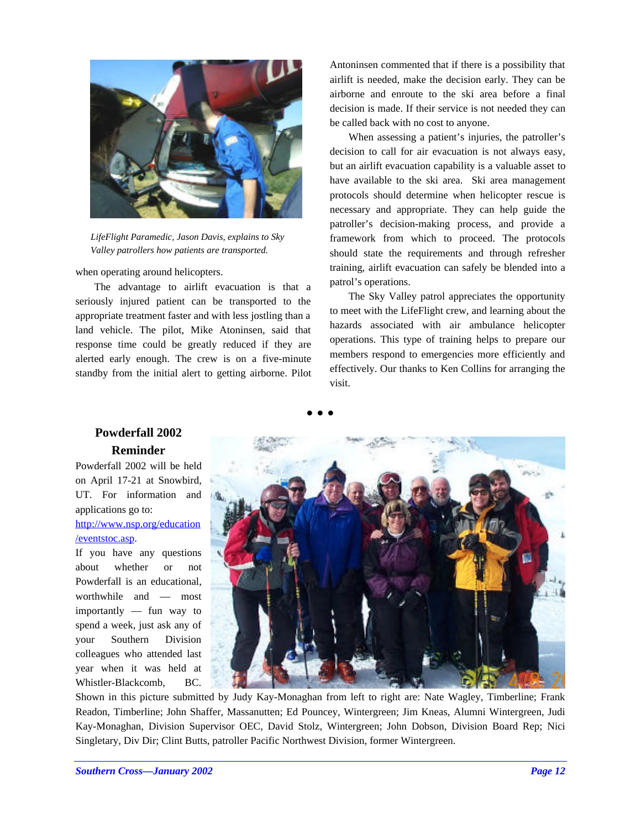

*LifeFlight Paramedic, Jason Davis, explains to Sky Valley patrollers how patients are transported.*

when operating around helicopters.

The advantage to airlift evacuation is that a seriously injured patient can be transported to the appropriate treatment faster and with less jostling than a land vehicle. The pilot, Mike Atoninsen, said that response time could be greatly reduced if they are alerted early enough. The crew is on a five-minute standby from the initial alert to getting airborne. Pilot Antoninsen commented that if there is a possibility that airlift is needed, make the decision early. They can be airborne and enroute to the ski area before a final decision is made. If their service is not needed they can be called back with no cost to anyone.

When assessing a patient's injuries, the patroller's decision to call for air evacuation is not always easy, but an airlift evacuation capability is a valuable asset to have available to the ski area. Ski area management protocols should determine when helicopter rescue is necessary and appropriate. They can help guide the patroller's decision-making process, and provide a framework from which to proceed. The protocols should state the requirements and through refresher training, airlift evacuation can safely be blended into a patrol's operations.

The Sky Valley patrol appreciates the opportunity to meet with the LifeFlight crew, and learning about the hazards associated with air ambulance helicopter operations. This type of training helps to prepare our members respond to emergencies more efficiently and effectively. Our thanks to Ken Collins for arranging the visit.

## **• • •**

## **Powderfall 2002 Reminder**

Powderfall 2002 will be held on April 17-21 at Snowbird, UT. For information and applications go to:

## http://www.nsp.org/education /eventstoc.asp.

If you have any questions about whether or not Powderfall is an educational, worthwhile and — most importantly — fun way to spend a week, just ask any of your Southern Division colleagues who attended last year when it was held at Whistler-Blackcomb, BC.



Shown in this picture submitted by Judy Kay-Monaghan from left to right are: Nate Wagley, Timberline; Frank Readon, Timberline; John Shaffer, Massanutten; Ed Pouncey, Wintergreen; Jim Kneas, Alumni Wintergreen, Judi Kay-Monaghan, Division Supervisor OEC, David Stolz, Wintergreen; John Dobson, Division Board Rep; Nici Singletary, Div Dir; Clint Butts, patroller Pacific Northwest Division, former Wintergreen.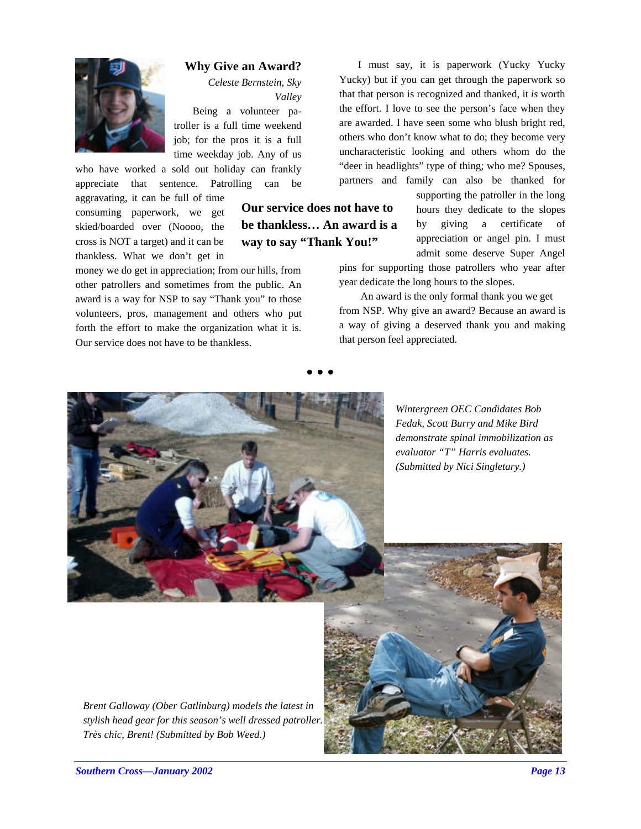

#### **Why Give an Award?**

*Celeste Bernstein, Sky Valley*

Being a volunteer patroller is a full time weekend job; for the pros it is a full time weekday job. Any of us

who have worked a sold out holiday can frankly appreciate that sentence. Patrolling can be

aggravating, it can be full of time consuming paperwork, we get skied/boarded over (Noooo, the cross is NOT a target) and it can be thankless. What we don't get in

money we do get in appreciation; from our hills, from other patrollers and sometimes from the public. An award is a way for NSP to say "Thank you" to those volunteers, pros, management and others who put forth the effort to make the organization what it is. Our service does not have to be thankless.

## **Our service does not have to be thankless… An award is a way to say "Thank You!"**

**• • •**

I must say, it is paperwork (Yucky Yucky Yucky) but if you can get through the paperwork so that that person is recognized and thanked, it *is* worth the effort. I love to see the person's face when they are awarded. I have seen some who blush bright red, others who don't know what to do; they become very uncharacteristic looking and others whom do the "deer in headlights" type of thing; who me? Spouses, partners and family can also be thanked for

> supporting the patroller in the long hours they dedicate to the slopes by giving a certificate of appreciation or angel pin. I must admit some deserve Super Angel

pins for supporting those patrollers who year after year dedicate the long hours to the slopes.

 An award is the only formal thank you we get from NSP. Why give an award? Because an award is a way of giving a deserved thank you and making that person feel appreciated.



*Wintergreen OEC Candidates Bob Fedak, Scott Burry and Mike Bird demonstrate spinal immobilization as evaluator "T" Harris evaluates. (Submitted by Nici Singletary.)*

*Brent Galloway (Ober Gatlinburg) models the latest in stylish head gear for this season's well dressed patroller. Très chic, Brent! (Submitted by Bob Weed.)*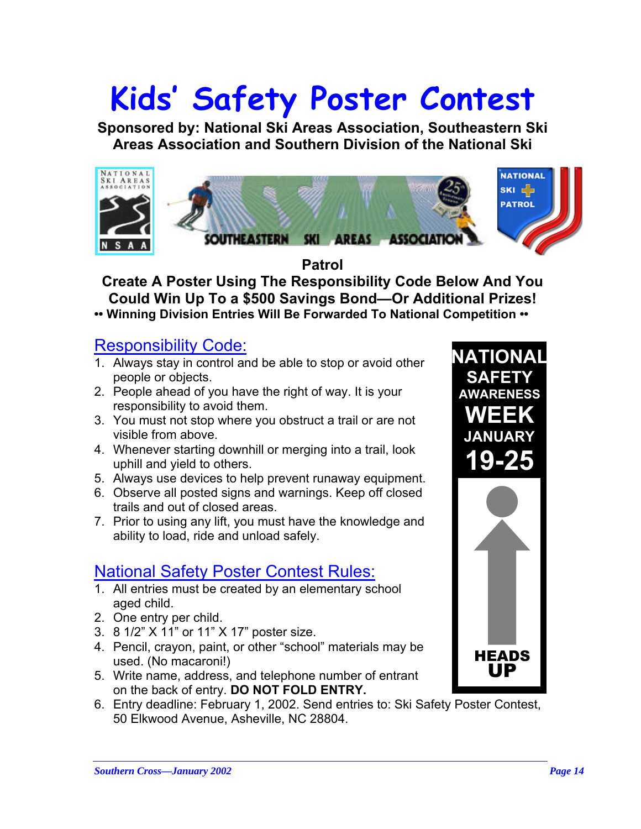# **Kids' Safety Poster Contest**

**Sponsored by: National Ski Areas Association, Southeastern Ski Areas Association and Southern Division of the National Ski**



**Patrol Create A Poster Using The Responsibility Code Below And You Could Win Up To a \$500 Savings Bond—Or Additional Prizes! •• Winning Division Entries Will Be Forwarded To National Competition ••**

## Responsibility Code:

- 1. Always stay in control and be able to stop or avoid other people or objects.
- 2. People ahead of you have the right of way. It is your responsibility to avoid them.
- 3. You must not stop where you obstruct a trail or are not visible from above.
- 4. Whenever starting downhill or merging into a trail, look uphill and yield to others.
- 5. Always use devices to help prevent runaway equipment.
- 6. Observe all posted signs and warnings. Keep off closed trails and out of closed areas.
- 7. Prior to using any lift, you must have the knowledge and ability to load, ride and unload safely.

# National Safety Poster Contest Rules:

- 1. All entries must be created by an elementary school aged child.
- 2. One entry per child.
- 3. 8 1/2" X 11" or 11" X 17" poster size.
- 4. Pencil, crayon, paint, or other "school" materials may be used. (No macaroni!)
- 5. Write name, address, and telephone number of entrant on the back of entry. **DO NOT FOLD ENTRY.**
- 6. Entry deadline: February 1, 2002. Send entries to: Ski Safety Poster Contest, 50 Elkwood Avenue, Asheville, NC 28804.

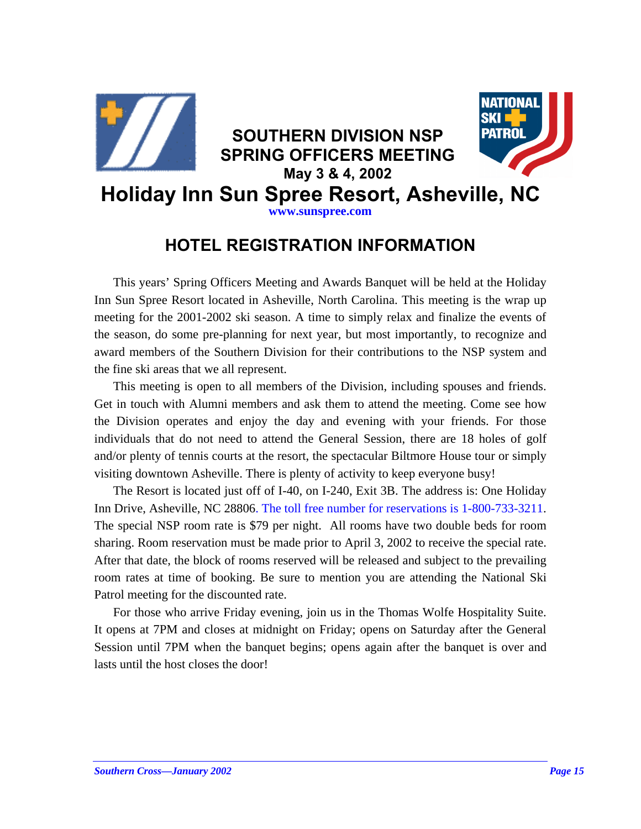

# **HOTEL REGISTRATION INFORMATION**

This years' Spring Officers Meeting and Awards Banquet will be held at the Holiday Inn Sun Spree Resort located in Asheville, North Carolina. This meeting is the wrap up meeting for the 2001-2002 ski season. A time to simply relax and finalize the events of the season, do some pre-planning for next year, but most importantly, to recognize and award members of the Southern Division for their contributions to the NSP system and the fine ski areas that we all represent.

This meeting is open to all members of the Division, including spouses and friends. Get in touch with Alumni members and ask them to attend the meeting. Come see how the Division operates and enjoy the day and evening with your friends. For those individuals that do not need to attend the General Session, there are 18 holes of golf and/or plenty of tennis courts at the resort, the spectacular Biltmore House tour or simply visiting downtown Asheville. There is plenty of activity to keep everyone busy!

The Resort is located just off of I-40, on I-240, Exit 3B. The address is: One Holiday Inn Drive, Asheville, NC 28806. The toll free number for reservations is 1-800-733-3211. The special NSP room rate is \$79 per night. All rooms have two double beds for room sharing. Room reservation must be made prior to April 3, 2002 to receive the special rate. After that date, the block of rooms reserved will be released and subject to the prevailing room rates at time of booking. Be sure to mention you are attending the National Ski Patrol meeting for the discounted rate.

For those who arrive Friday evening, join us in the Thomas Wolfe Hospitality Suite. It opens at 7PM and closes at midnight on Friday; opens on Saturday after the General Session until 7PM when the banquet begins; opens again after the banquet is over and lasts until the host closes the door!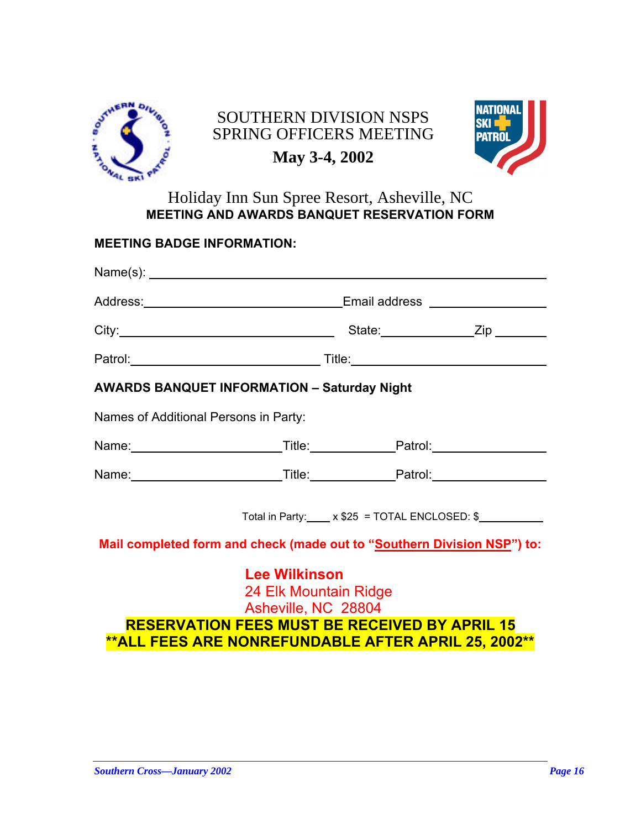

# SOUTHERN DIVISION NSPS SPRING OFFICERS MEETING



# **May 3-4, 2002**

## Holiday Inn Sun Spree Resort, Asheville, NC **MEETING AND AWARDS BANQUET RESERVATION FORM**

| <b>MEETING BADGE INFORMATION:</b>                                                                                                                                                          |  |  |  |  |  |  |  |  |
|--------------------------------------------------------------------------------------------------------------------------------------------------------------------------------------------|--|--|--|--|--|--|--|--|
|                                                                                                                                                                                            |  |  |  |  |  |  |  |  |
|                                                                                                                                                                                            |  |  |  |  |  |  |  |  |
|                                                                                                                                                                                            |  |  |  |  |  |  |  |  |
|                                                                                                                                                                                            |  |  |  |  |  |  |  |  |
| <b>AWARDS BANQUET INFORMATION - Saturday Night</b>                                                                                                                                         |  |  |  |  |  |  |  |  |
| Names of Additional Persons in Party:                                                                                                                                                      |  |  |  |  |  |  |  |  |
|                                                                                                                                                                                            |  |  |  |  |  |  |  |  |
|                                                                                                                                                                                            |  |  |  |  |  |  |  |  |
| Total in Party: x \$25 = TOTAL ENCLOSED: \$                                                                                                                                                |  |  |  |  |  |  |  |  |
| Mail completed form and check (made out to "Southern Division NSP") to:                                                                                                                    |  |  |  |  |  |  |  |  |
| <b>Lee Wilkinson</b><br>24 Elk Mountain Ridge<br>Asheville, NC 28804<br><b>RESERVATION FEES MUST BE RECEIVED BY APRIL 15</b><br><b>**ALL FEES ARE NONREFUNDABLE AFTER APRIL 25, 2002**</b> |  |  |  |  |  |  |  |  |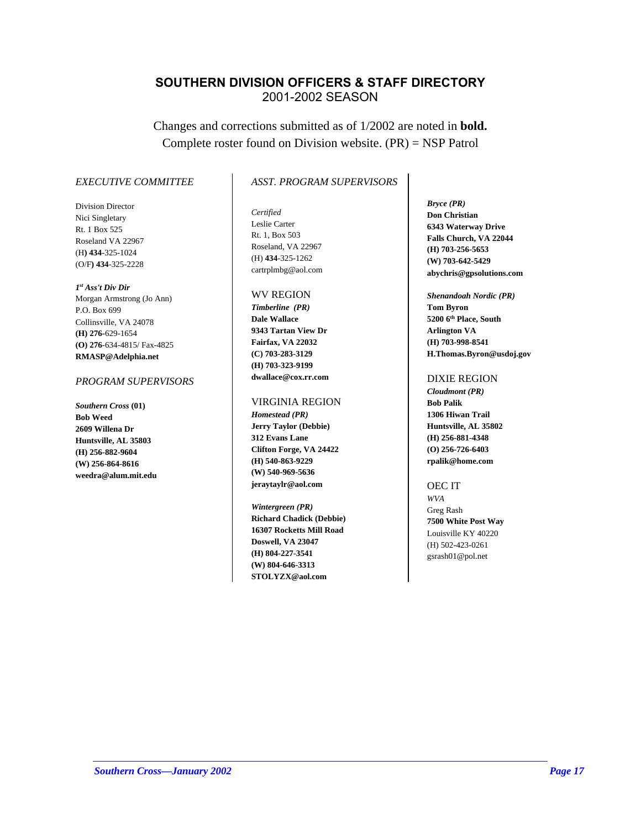## **SOUTHERN DIVISION OFFICERS & STAFF DIRECTORY** 2001-2002 SEASON

Changes and corrections submitted as of 1/2002 are noted in **bold.** Complete roster found on Division website. (PR) = NSP Patrol

#### *EXECUTIVE COMMITTEE*

Division Director Nici Singletary Rt. 1 Box 525 Roseland VA 22967 (H**) 434**-325-1024 (O/F**) 434**-325-2228

*1 st Ass't Div Dir*  Morgan Armstrong (Jo Ann) P.O. Box 699 Collinsville, VA 24078 **(H) 276-**629-1654 **(O) 276-**634-4815/ Fax-4825 **RMASP@Adelphia.net**

#### *PROGRAM SUPERVISORS*

*Southern Cross* **(01) Bob Weed 2609 Willena Dr Huntsville, AL 35803 (H) 256-882-9604 (W) 256-864-8616 weedra@alum.mit.edu**

## *ASST. PROGRAM SUPERVISORS*

*Certified* Leslie Carter Rt. 1, Box 503 Roseland, VA 22967 (H) **434**-325-1262 cartrplmbg@aol.com

## WV REGION

*Timberline (PR)* **Dale Wallace 9343 Tartan View Dr Fairfax, VA 22032 (C) 703-283-3129 (H) 703-323-9199 dwallace@cox.rr.com**

#### VIRGINIA REGION

*Homestead (PR)* **Jerry Taylor (Debbie) 312 Evans Lane Clifton Forge, VA 24422 (H) 540-863-9229 (W) 540-969-5636 jeraytaylr@aol.com**

*Wintergreen (PR)* **Richard Chadick (Debbie) 16307 Rocketts Mill Road Doswell, VA 23047 (H) 804-227-3541 (W) 804-646-3313 STOLYZX@aol.com**

*Bryce (PR)* **Don Christian 6343 Waterway Drive Falls Church, VA 22044 (H) 703-256-5653 (W) 703-642-5429 abychris@gpsolutions.com**

*Shenandoah Nordic (PR)* **Tom Byron 5200 6th Place, South Arlington VA (H) 703-998-8541 H.Thomas.Byron@usdoj.gov**

#### DIXIE REGION

*Cloudmont (PR)* **Bob Palik 1306 Hiwan Trail Huntsville, AL 35802 (H) 256-881-4348 (O) 256-726-6403 rpalik@home.com**

#### OEC IT

*WVA* Greg Rash **7500 White Post Way** Louisville KY 40220 (H) 502-423-0261 gsrash01@pol.net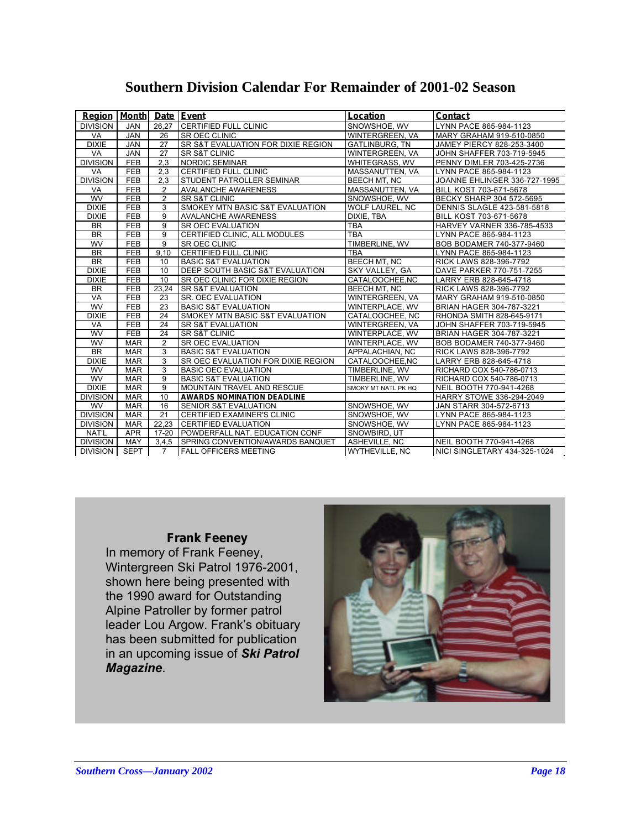| <b>Region</b>   | <b>Month</b> |                 | Date Event                                 | Location               | <b>Contact</b>                    |
|-----------------|--------------|-----------------|--------------------------------------------|------------------------|-----------------------------------|
| <b>DIVISION</b> | <b>JAN</b>   | 26.27           | <b>CERTIFIED FULL CLINIC</b>               | SNOWSHOE, WV           | LYNN PACE 865-984-1123            |
| <b>VA</b>       | <b>JAN</b>   | 26              | <b>SR OEC CLINIC</b>                       | <b>WINTERGREEN, VA</b> | MARY GRAHAM 919-510-0850          |
| <b>DIXIE</b>    | <b>JAN</b>   | 27              | SR S&T EVALUATION FOR DIXIE REGION         | <b>GATLINBURG, TN</b>  | JAMEY PIERCY 828-253-3400         |
| VA              | <b>JAN</b>   | 27              | <b>SR S&amp;T CLINIC</b>                   | <b>WINTERGREEN, VA</b> | JOHN SHAFFER 703-719-5945         |
| <b>DIVISION</b> | FEB          | 2,3             | <b>NORDIC SEMINAR</b>                      | WHITEGRASS, WV         | PENNY DIMLER 703-425-2736         |
| <b>VA</b>       | <b>FEB</b>   | 2,3             | CERTIFIED FULL CLINIC                      | MASSANUTTEN, VA        | LYNN PACE 865-984-1123            |
| <b>DIVISION</b> | FEB          | 2.3             | <b>STUDENT PATROLLER SEMINAR</b>           | <b>BEECH MT. NC</b>    | JOANNE EHLINGER 336-727-1995      |
| VA              | FEB          | 2               | <b>AVALANCHE AWARENESS</b>                 | MASSANUTTEN, VA        | BILL KOST 703-671-5678            |
| WV              | FEB          | $\overline{2}$  | <b>SR S&amp;T CLINIC</b>                   | SNOWSHOE, WV           | BECKY SHARP 304 572-5695          |
| <b>DIXIE</b>    | FEB          | 3               | SMOKEY MTN BASIC S&T EVALUATION            | WOLF LAUREL, NC        | <b>DENNIS SLAGLE 423-581-5818</b> |
| <b>DIXIE</b>    | <b>FEB</b>   | $\overline{9}$  | <b>AVALANCHE AWARENESS</b>                 | DIXIE. TBA             | BILL KOST 703-671-5678            |
| <b>BR</b>       | <b>FEB</b>   | 9               | SR OEC EVALUATION                          | <b>TBA</b>             | HARVEY VARNER 336-785-4533        |
| <b>BR</b>       | <b>FEB</b>   | 9               | CERTIFIED CLINIC. ALL MODULES              | <b>TBA</b>             | LYNN PACE 865-984-1123            |
| <b>WV</b>       | <b>FEB</b>   | 9               | SR OEC CLINIC                              | TIMBERLINE, WV         | BOB BODAMER 740-377-9460          |
| <b>BR</b>       | <b>FEB</b>   | 9,10            | <b>CERTIFIED FULL CLINIC</b>               | <b>TBA</b>             | LYNN PACE 865-984-1123            |
| <b>BR</b>       | <b>FEB</b>   | 10              | <b>BASIC S&amp;T EVALUATION</b>            | <b>BEECH MT. NC</b>    | RICK LAWS 828-396-7792            |
| <b>DIXIE</b>    | <b>FEB</b>   | 10              | DEEP SOUTH BASIC S&T EVALUATION            | SKY VALLEY, GA         | DAVE PARKER 770-751-7255          |
| <b>DIXIE</b>    | <b>FEB</b>   | 10              | <b>SR OEC CLINIC FOR DIXIE REGION</b>      | CATALOOCHEE.NC         | LARRY ERB 828-645-4718            |
| <b>BR</b>       | <b>FEB</b>   | 23,24           | <b>SR S&amp;T EVALUATION</b>               | <b>BEECH MT, NC</b>    | RICK LAWS 828-396-7792            |
| <b>VA</b>       | <b>FEB</b>   | 23              | <b>SR. OEC EVALUATION</b>                  | <b>WINTERGREEN, VA</b> | MARY GRAHAM 919-510-0850          |
| <b>WV</b>       | <b>FEB</b>   | 23              | <b>BASIC S&amp;T EVALUATION</b>            | WINTERPLACE, WV        | BRIAN HAGER 304-787-3221          |
| <b>DIXIE</b>    | <b>FEB</b>   | $\overline{24}$ | <b>SMOKEY MTN BASIC S&amp;T EVALUATION</b> | CATALOOCHEE, NC        | RHONDA SMITH 828-645-9171         |
| VA              | <b>FEB</b>   | 24              | <b>SR S&amp;T EVALUATION</b>               | <b>WINTERGREEN, VA</b> | JOHN SHAFFER 703-719-5945         |
| WV              | <b>FEB</b>   | 24              | <b>SR S&amp;T CLINIC</b>                   | <b>WINTERPLACE, WV</b> | BRIAN HAGER 304-787-3221          |
| <b>WV</b>       | <b>MAR</b>   | $\overline{2}$  | <b>SR OEC EVALUATION</b>                   | <b>WINTERPLACE, WV</b> | BOB BODAMER 740-377-9460          |
| BR              | <b>MAR</b>   | 3               | <b>BASIC S&amp;T EVALUATION</b>            | APPALACHIAN, NC        | RICK LAWS 828-396-7792            |
| <b>DIXIE</b>    | <b>MAR</b>   | 3               | SR OEC EVALUATION FOR DIXIE REGION         | CATALOOCHEE.NC         | LARRY ERB 828-645-4718            |
| WV              | <b>MAR</b>   | 3               | <b>BASIC OEC EVALUATION</b>                | TIMBERLINE, WV         | RICHARD COX 540-786-0713          |
| <b>WV</b>       | <b>MAR</b>   | 9               | <b>BASIC S&amp;T EVALUATION</b>            | TIMBERLINE, WV         | RICHARD COX 540-786-0713          |
| <b>DIXIE</b>    | <b>MAR</b>   | 9               | MOUNTAIN TRAVEL AND RESCUE                 | SMOKY MT NATL PK HQ    | NEIL BOOTH 770-941-4268           |
| <b>DIVISION</b> | <b>MAR</b>   | 10              | <b>AWARDS NOMINATION DEADLINE</b>          |                        | HARRY STOWE 336-294-2049          |
| WV              | <b>MAR</b>   | 16              | SENIOR S&T EVALUATION                      | SNOWSHOE, WV           | JAN STARR 304-572-6713            |
| <b>DIVISION</b> | <b>MAR</b>   | $\overline{21}$ | CERTIFIED EXAMINER'S CLINIC                | SNOWSHOE, WV           | LYNN PACE 865-984-1123            |
| <b>DIVISION</b> | <b>MAR</b>   | 22.23           | <b>CERTIFIED EVALUATION</b>                | SNOWSHOE, WV           | LYNN PACE 865-984-1123            |
| NAT'L           | <b>APR</b>   | $17 - 20$       | POWDERFALL NAT. EDUCATION CONF             | SNOWBIRD, UT           |                                   |
| <b>DIVISION</b> | <b>MAY</b>   | 3,4,5           | <b>SPRING CONVENTION/AWARDS BANQUET</b>    | ASHEVILLE, NC          | NEIL BOOTH 770-941-4268           |
| <b>DIVISION</b> | <b>SEPT</b>  | $\overline{7}$  | <b>FALL OFFICERS MEETING</b>               | <b>WYTHEVILLE, NC</b>  | NICI SINGLETARY 434-325-1024      |

## **Southern Division Calendar For Remainder of 2001-02 Season**

## **Frank Feeney**

In memory of Frank Feeney, Wintergreen Ski Patrol 1976-2001, shown here being presented with the 1990 award for Outstanding Alpine Patroller by former patrol leader Lou Argow. Frank's obituary has been submitted for publication in an upcoming issue of *Ski Patrol Magazine*.

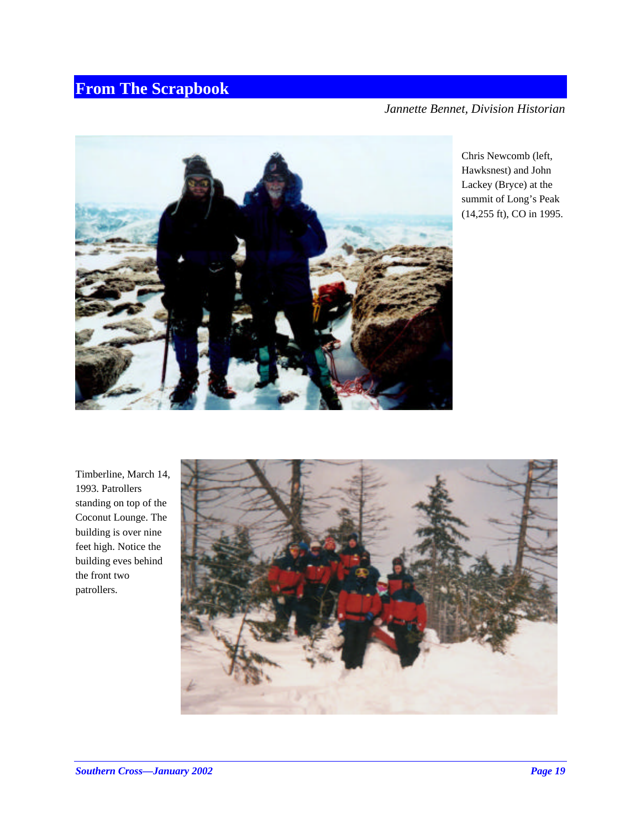# **From The Scrapbook**

*Jannette Bennet, Division Historian*



Chris Newcomb (left, Hawksnest) and John Lackey (Bryce) at the summit of Long's Peak (14,255 ft), CO in 1995.

Timberline, March 14, 1993. Patrollers standing on top of the Coconut Lounge. The building is over nine feet high. Notice the building eves behind the front two patrollers.